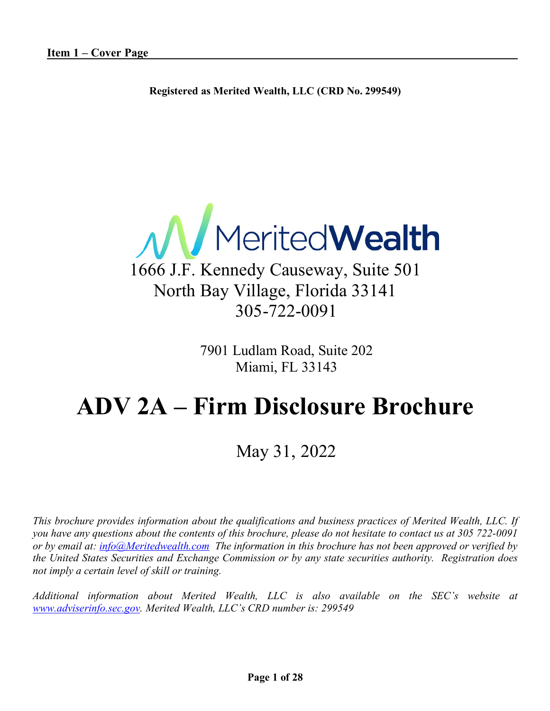**Registered as Merited Wealth, LLC (CRD No. 299549)**



### 1666 J.F. Kennedy Causeway, Suite 501 North Bay Village, Florida 33141 305-722-0091

7901 Ludlam Road, Suite 202 Miami, FL 33143

## **ADV 2A – Firm Disclosure Brochure**

### May 31, 2022

*This brochure provides information about the qualifications and business practices of Merited Wealth, LLC. If you have any questions about the contents of this brochure, please do not hesitate to contact us at 305 722-0091 or by email at: info@Meritedwealth.com The information in this brochure has not been approved or verified by the United States Securities and Exchange Commission or by any state securities authority. Registration does not imply a certain level of skill or training.*

*Additional information about Merited Wealth, LLC is also available on the SEC's website at www.adviserinfo.sec.gov. Merited Wealth, LLC's CRD number is: 299549*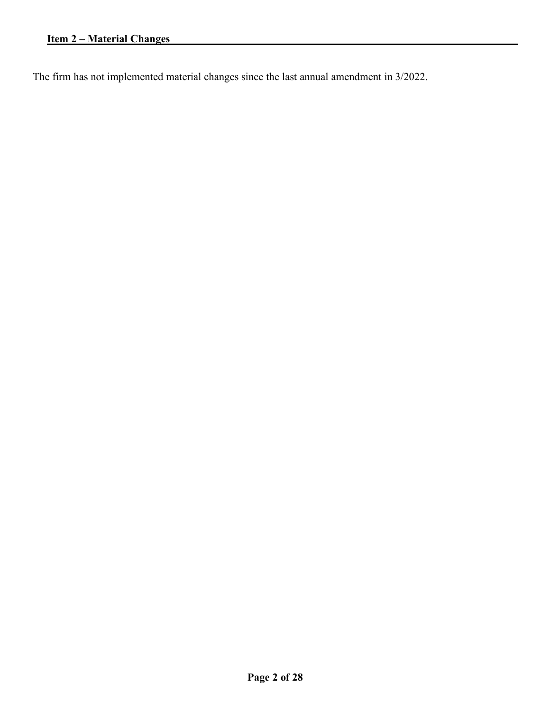The firm has not implemented material changes since the last annual amendment in 3/2022.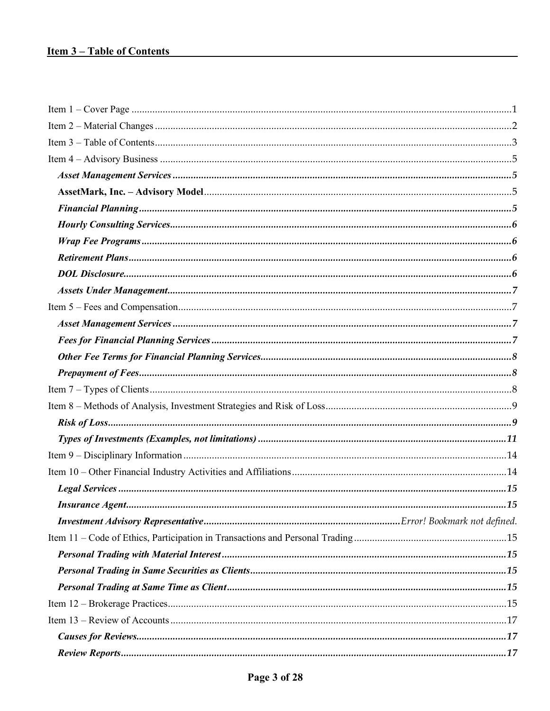#### <u>**Item 3-Table of Contents**</u>

| .15 |
|-----|
|     |
|     |
|     |
|     |
|     |
|     |
|     |
|     |
|     |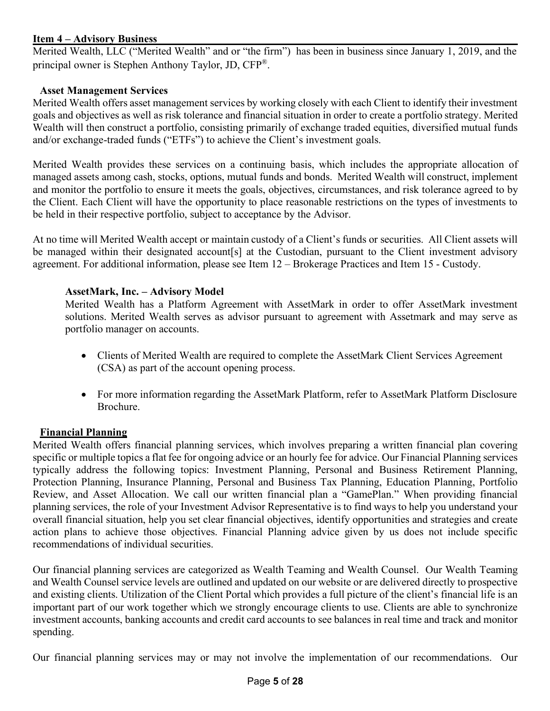#### **Item 4 – Advisory Business**

Merited Wealth, LLC ("Merited Wealth" and or "the firm") has been in business since January 1, 2019, and the principal owner is Stephen Anthony Taylor, JD, CFP®.

#### **Asset Management Services**

Merited Wealth offers asset management services by working closely with each Client to identify their investment goals and objectives as well as risk tolerance and financial situation in order to create a portfolio strategy. Merited Wealth will then construct a portfolio, consisting primarily of exchange traded equities, diversified mutual funds and/or exchange-traded funds ("ETFs") to achieve the Client's investment goals.

Merited Wealth provides these services on a continuing basis, which includes the appropriate allocation of managed assets among cash, stocks, options, mutual funds and bonds. Merited Wealth will construct, implement and monitor the portfolio to ensure it meets the goals, objectives, circumstances, and risk tolerance agreed to by the Client. Each Client will have the opportunity to place reasonable restrictions on the types of investments to be held in their respective portfolio, subject to acceptance by the Advisor.

At no time will Merited Wealth accept or maintain custody of a Client's funds or securities. All Client assets will be managed within their designated account[s] at the Custodian, pursuant to the Client investment advisory agreement. For additional information, please see Item 12 – Brokerage Practices and Item 15 - Custody.

#### **AssetMark, Inc. – Advisory Model**

Merited Wealth has a Platform Agreement with AssetMark in order to offer AssetMark investment solutions. Merited Wealth serves as advisor pursuant to agreement with Assetmark and may serve as portfolio manager on accounts.

- Clients of Merited Wealth are required to complete the AssetMark Client Services Agreement (CSA) as part of the account opening process.
- For more information regarding the AssetMark Platform, refer to AssetMark Platform Disclosure Brochure.

#### **Financial Planning**

Merited Wealth offers financial planning services, which involves preparing a written financial plan covering specific or multiple topics a flat fee for ongoing advice or an hourly fee for advice. Our Financial Planning services typically address the following topics: Investment Planning, Personal and Business Retirement Planning, Protection Planning, Insurance Planning, Personal and Business Tax Planning, Education Planning, Portfolio Review, and Asset Allocation. We call our written financial plan a "GamePlan." When providing financial planning services, the role of your Investment Advisor Representative is to find ways to help you understand your overall financial situation, help you set clear financial objectives, identify opportunities and strategies and create action plans to achieve those objectives. Financial Planning advice given by us does not include specific recommendations of individual securities.

Our financial planning services are categorized as Wealth Teaming and Wealth Counsel. Our Wealth Teaming and Wealth Counsel service levels are outlined and updated on our website or are delivered directly to prospective and existing clients. Utilization of the Client Portal which provides a full picture of the client's financial life is an important part of our work together which we strongly encourage clients to use. Clients are able to synchronize investment accounts, banking accounts and credit card accounts to see balances in real time and track and monitor spending.

Our financial planning services may or may not involve the implementation of our recommendations. Our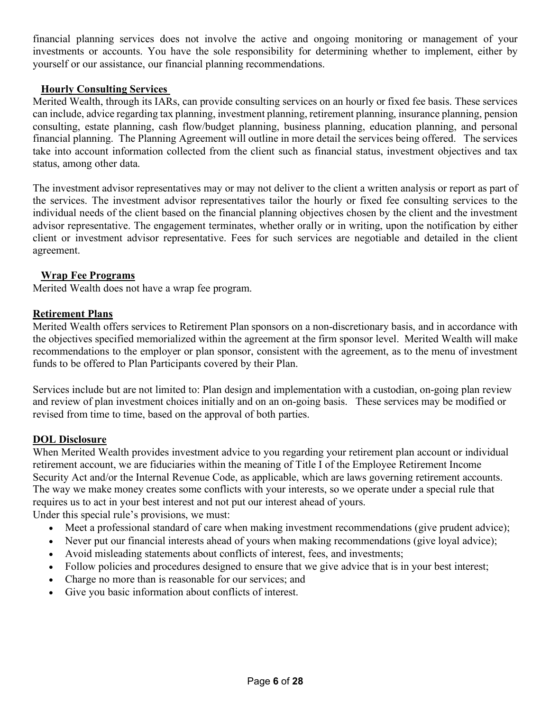financial planning services does not involve the active and ongoing monitoring or management of your investments or accounts. You have the sole responsibility for determining whether to implement, either by yourself or our assistance, our financial planning recommendations.

#### **Hourly Consulting Services**

Merited Wealth, through its IARs, can provide consulting services on an hourly or fixed fee basis. These services can include, advice regarding tax planning, investment planning, retirement planning, insurance planning, pension consulting, estate planning, cash flow/budget planning, business planning, education planning, and personal financial planning. The Planning Agreement will outline in more detail the services being offered. The services take into account information collected from the client such as financial status, investment objectives and tax status, among other data.

The investment advisor representatives may or may not deliver to the client a written analysis or report as part of the services. The investment advisor representatives tailor the hourly or fixed fee consulting services to the individual needs of the client based on the financial planning objectives chosen by the client and the investment advisor representative. The engagement terminates, whether orally or in writing, upon the notification by either client or investment advisor representative. Fees for such services are negotiable and detailed in the client agreement.

#### **Wrap Fee Programs**

Merited Wealth does not have a wrap fee program.

#### **Retirement Plans**

Merited Wealth offers services to Retirement Plan sponsors on a non-discretionary basis, and in accordance with the objectives specified memorialized within the agreement at the firm sponsor level. Merited Wealth will make recommendations to the employer or plan sponsor, consistent with the agreement, as to the menu of investment funds to be offered to Plan Participants covered by their Plan.

Services include but are not limited to: Plan design and implementation with a custodian, on-going plan review and review of plan investment choices initially and on an on-going basis. These services may be modified or revised from time to time, based on the approval of both parties.

#### **DOL Disclosure**

When Merited Wealth provides investment advice to you regarding your retirement plan account or individual retirement account, we are fiduciaries within the meaning of Title I of the Employee Retirement Income Security Act and/or the Internal Revenue Code, as applicable, which are laws governing retirement accounts. The way we make money creates some conflicts with your interests, so we operate under a special rule that requires us to act in your best interest and not put our interest ahead of yours.

Under this special rule's provisions, we must:

- Meet a professional standard of care when making investment recommendations (give prudent advice);
- Never put our financial interests ahead of yours when making recommendations (give loyal advice);
- Avoid misleading statements about conflicts of interest, fees, and investments;
- Follow policies and procedures designed to ensure that we give advice that is in your best interest;
- Charge no more than is reasonable for our services; and
- Give you basic information about conflicts of interest.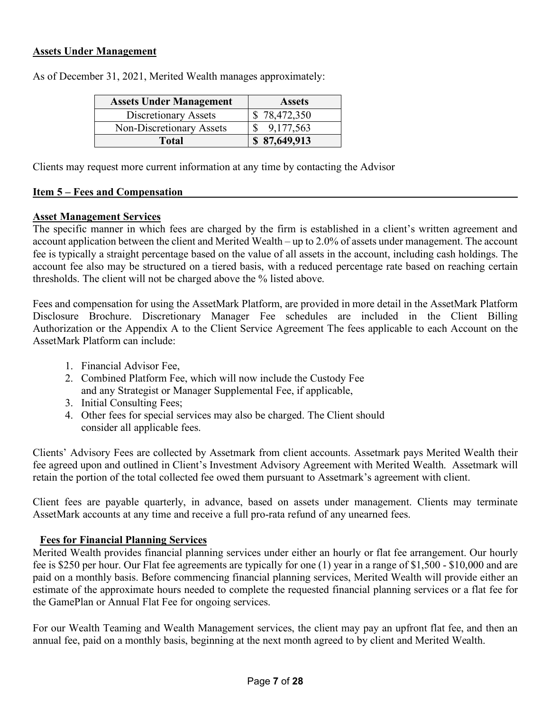#### **Assets Under Management**

| <b>Assets Under Management</b> | <b>Assets</b> |
|--------------------------------|---------------|
| Discretionary Assets           | \$78,472,350  |
| Non-Discretionary Assets       | 9,177,563     |
| <b>Total</b>                   | \$87,649,913  |

As of December 31, 2021, Merited Wealth manages approximately:

Clients may request more current information at any time by contacting the Advisor

#### **Item 5 – Fees and Compensation**

#### **Asset Management Services**

The specific manner in which fees are charged by the firm is established in a client's written agreement and account application between the client and Merited Wealth – up to 2.0% of assets under management. The account fee is typically a straight percentage based on the value of all assets in the account, including cash holdings. The account fee also may be structured on a tiered basis, with a reduced percentage rate based on reaching certain thresholds. The client will not be charged above the % listed above.

Fees and compensation for using the AssetMark Platform, are provided in more detail in the AssetMark Platform Disclosure Brochure. Discretionary Manager Fee schedules are included in the Client Billing Authorization or the Appendix A to the Client Service Agreement The fees applicable to each Account on the AssetMark Platform can include:

- 1. Financial Advisor Fee,
- 2. Combined Platform Fee, which will now include the Custody Fee and any Strategist or Manager Supplemental Fee, if applicable,
- 3. Initial Consulting Fees;
- 4. Other fees for special services may also be charged. The Client should consider all applicable fees.

Clients' Advisory Fees are collected by Assetmark from client accounts. Assetmark pays Merited Wealth their fee agreed upon and outlined in Client's Investment Advisory Agreement with Merited Wealth. Assetmark will retain the portion of the total collected fee owed them pursuant to Assetmark's agreement with client.

Client fees are payable quarterly, in advance, based on assets under management. Clients may terminate AssetMark accounts at any time and receive a full pro-rata refund of any unearned fees.

#### **Fees for Financial Planning Services**

Merited Wealth provides financial planning services under either an hourly or flat fee arrangement. Our hourly fee is \$250 per hour. Our Flat fee agreements are typically for one (1) year in a range of \$1,500 - \$10,000 and are paid on a monthly basis. Before commencing financial planning services, Merited Wealth will provide either an estimate of the approximate hours needed to complete the requested financial planning services or a flat fee for the GamePlan or Annual Flat Fee for ongoing services.

For our Wealth Teaming and Wealth Management services, the client may pay an upfront flat fee, and then an annual fee, paid on a monthly basis, beginning at the next month agreed to by client and Merited Wealth.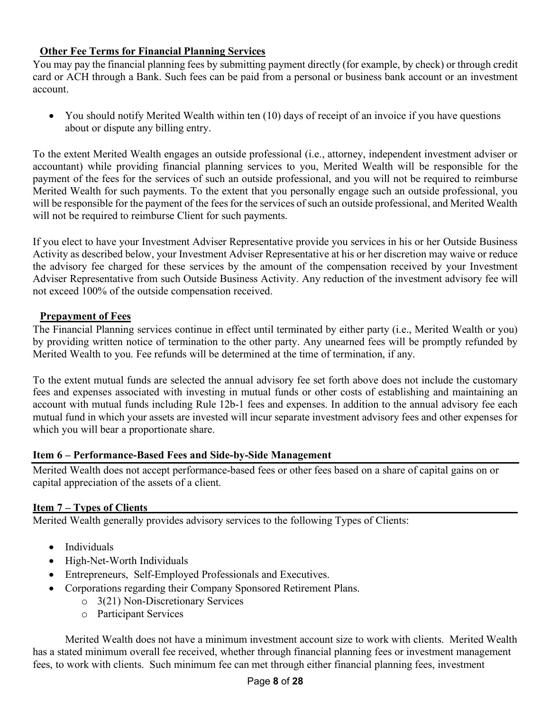#### **Other Fee Terms for Financial Planning Services**

You may pay the financial planning fees by submitting payment directly (for example, by check) or through credit card or ACH through a Bank. Such fees can be paid from a personal or business bank account or an investment account.

• You should notify Merited Wealth within ten (10) days of receipt of an invoice if you have questions about or dispute any billing entry.

To the extent Merited Wealth engages an outside professional (i.e., attorney, independent investment adviser or accountant) while providing financial planning services to you, Merited Wealth will be responsible for the payment of the fees for the services of such an outside professional, and you will not be required to reimburse Merited Wealth for such payments. To the extent that you personally engage such an outside professional, you will be responsible for the payment of the fees for the services of such an outside professional, and Merited Wealth will not be required to reimburse Client for such payments.

If you elect to have your Investment Adviser Representative provide you services in his or her Outside Business Activity as described below, your Investment Adviser Representative at his or her discretion may waive or reduce the advisory fee charged for these services by the amount of the compensation received by your Investment Adviser Representative from such Outside Business Activity. Any reduction of the investment advisory fee will not exceed 100% of the outside compensation received.

#### **Prepayment of Fees**

The Financial Planning services continue in effect until terminated by either party (i.e., Merited Wealth or you) by providing written notice of termination to the other party. Any unearned fees will be promptly refunded by Merited Wealth to you. Fee refunds will be determined at the time of termination, if any.

To the extent mutual funds are selected the annual advisory fee set forth above does not include the customary fees and expenses associated with investing in mutual funds or other costs of establishing and maintaining an account with mutual funds including Rule 12b-1 fees and expenses. In addition to the annual advisory fee each mutual fund in which your assets are invested will incur separate investment advisory fees and other expenses for which you will bear a proportionate share.

#### **Item 6 – Performance-Based Fees and Side-by-Side Management**

Merited Wealth does not accept performance-based fees or other fees based on a share of capital gains on or capital appreciation of the assets of a client.

#### **Item 7 – Types of Clients**

Merited Wealth generally provides advisory services to the following Types of Clients:

- Individuals
- High-Net-Worth Individuals
- Entrepreneurs, Self-Employed Professionals and Executives.
- Corporations regarding their Company Sponsored Retirement Plans.
	- o 3(21) Non-Discretionary Services
	- o Participant Services

Merited Wealth does not have a minimum investment account size to work with clients. Merited Wealth has a stated minimum overall fee received, whether through financial planning fees or investment management fees, to work with clients. Such minimum fee can met through either financial planning fees, investment

#### Page **8** of **28**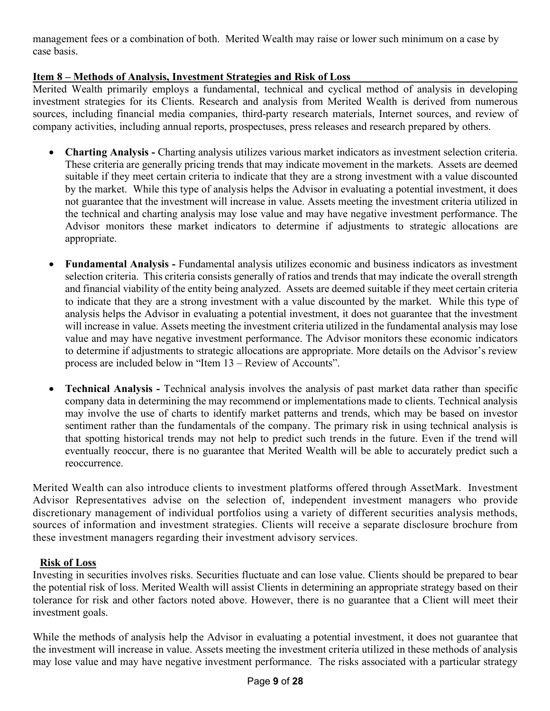management fees or a combination of both. Merited Wealth may raise or lower such minimum on a case by case basis.

#### **Item 8 – Methods of Analysis, Investment Strategies and Risk of Loss**

Merited Wealth primarily employs a fundamental, technical and cyclical method of analysis in developing investment strategies for its Clients. Research and analysis from Merited Wealth is derived from numerous sources, including financial media companies, third-party research materials, Internet sources, and review of company activities, including annual reports, prospectuses, press releases and research prepared by others.

- **Charting Analysis -** Charting analysis utilizes various market indicators as investment selection criteria. These criteria are generally pricing trends that may indicate movement in the markets. Assets are deemed suitable if they meet certain criteria to indicate that they are a strong investment with a value discounted by the market. While this type of analysis helps the Advisor in evaluating a potential investment, it does not guarantee that the investment will increase in value. Assets meeting the investment criteria utilized in the technical and charting analysis may lose value and may have negative investment performance. The Advisor monitors these market indicators to determine if adjustments to strategic allocations are appropriate.
- **Fundamental Analysis -** Fundamental analysis utilizes economic and business indicators as investment selection criteria. This criteria consists generally of ratios and trends that may indicate the overall strength and financial viability of the entity being analyzed. Assets are deemed suitable if they meet certain criteria to indicate that they are a strong investment with a value discounted by the market. While this type of analysis helps the Advisor in evaluating a potential investment, it does not guarantee that the investment will increase in value. Assets meeting the investment criteria utilized in the fundamental analysis may lose value and may have negative investment performance. The Advisor monitors these economic indicators to determine if adjustments to strategic allocations are appropriate. More details on the Advisor's review process are included below in "Item 13 – Review of Accounts".
- **Technical Analysis -** Technical analysis involves the analysis of past market data rather than specific company data in determining the may recommend or implementations made to clients. Technical analysis may involve the use of charts to identify market patterns and trends, which may be based on investor sentiment rather than the fundamentals of the company. The primary risk in using technical analysis is that spotting historical trends may not help to predict such trends in the future. Even if the trend will eventually reoccur, there is no guarantee that Merited Wealth will be able to accurately predict such a reoccurrence.

Merited Wealth can also introduce clients to investment platforms offered through AssetMark. Investment Advisor Representatives advise on the selection of, independent investment managers who provide discretionary management of individual portfolios using a variety of different securities analysis methods, sources of information and investment strategies. Clients will receive a separate disclosure brochure from these investment managers regarding their investment advisory services.

#### **Risk of Loss**

Investing in securities involves risks. Securities fluctuate and can lose value. Clients should be prepared to bear the potential risk of loss. Merited Wealth will assist Clients in determining an appropriate strategy based on their tolerance for risk and other factors noted above. However, there is no guarantee that a Client will meet their investment goals.

While the methods of analysis help the Advisor in evaluating a potential investment, it does not guarantee that the investment will increase in value. Assets meeting the investment criteria utilized in these methods of analysis may lose value and may have negative investment performance. The risks associated with a particular strategy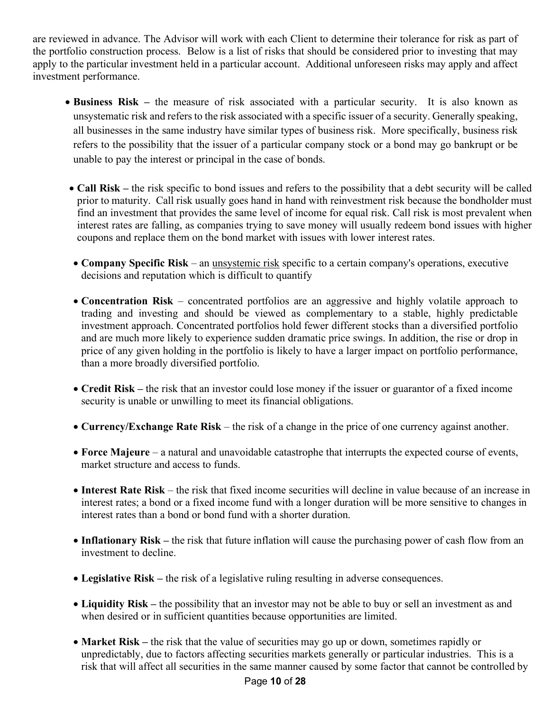are reviewed in advance. The Advisor will work with each Client to determine their tolerance for risk as part of the portfolio construction process. Below is a list of risks that should be considered prior to investing that may apply to the particular investment held in a particular account. Additional unforeseen risks may apply and affect investment performance.

- **Business Risk –** the measure of risk associated with a particular security. It is also known as unsystematic risk and refers to the risk associated with a specific issuer of a security. Generally speaking, all businesses in the same industry have similar types of business risk. More specifically, business risk refers to the possibility that the issuer of a particular company stock or a bond may go bankrupt or be unable to pay the interest or principal in the case of bonds.
- **Call Risk –** the risk specific to bond issues and refers to the possibility that a debt security will be called prior to maturity. Call risk usually goes hand in hand with reinvestment risk because the bondholder must find an investment that provides the same level of income for equal risk. Call risk is most prevalent when interest rates are falling, as companies trying to save money will usually redeem bond issues with higher coupons and replace them on the bond market with issues with lower interest rates.
- **Company Specific Risk** an unsystemic risk specific to a certain company's operations, executive decisions and reputation which is difficult to quantify
- **Concentration Risk** concentrated portfolios are an aggressive and highly volatile approach to trading and investing and should be viewed as complementary to a stable, highly predictable investment approach. Concentrated portfolios hold fewer different stocks than a diversified portfolio and are much more likely to experience sudden dramatic price swings. In addition, the rise or drop in price of any given holding in the portfolio is likely to have a larger impact on portfolio performance, than a more broadly diversified portfolio.
- **Credit Risk –** the risk that an investor could lose money if the issuer or guarantor of a fixed income security is unable or unwilling to meet its financial obligations.
- **Currency/Exchange Rate Risk** the risk of a change in the price of one currency against another.
- **Force Majeure** a natural and unavoidable catastrophe that interrupts the expected course of events, market structure and access to funds.
- **Interest Rate Risk**  the risk that fixed income securities will decline in value because of an increase in interest rates; a bond or a fixed income fund with a longer duration will be more sensitive to changes in interest rates than a bond or bond fund with a shorter duration.
- **Inflationary Risk** the risk that future inflation will cause the purchasing power of cash flow from an investment to decline.
- **Legislative Risk –** the risk of a legislative ruling resulting in adverse consequences.
- **Liquidity Risk –** the possibility that an investor may not be able to buy or sell an investment as and when desired or in sufficient quantities because opportunities are limited.
- **Market Risk** the risk that the value of securities may go up or down, sometimes rapidly or unpredictably, due to factors affecting securities markets generally or particular industries. This is a risk that will affect all securities in the same manner caused by some factor that cannot be controlled by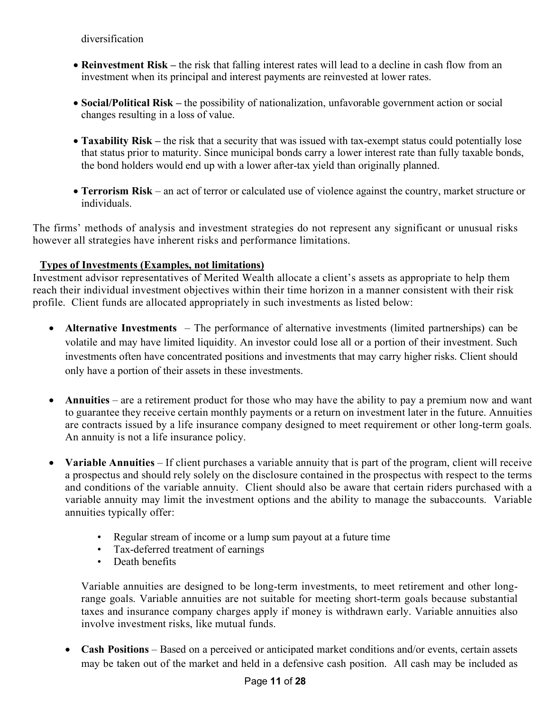diversification

- **Reinvestment Risk –** the risk that falling interest rates will lead to a decline in cash flow from an investment when its principal and interest payments are reinvested at lower rates.
- **Social/Political Risk –** the possibility of nationalization, unfavorable government action or social changes resulting in a loss of value.
- **Taxability Risk –** the risk that a security that was issued with tax-exempt status could potentially lose that status prior to maturity. Since municipal bonds carry a lower interest rate than fully taxable bonds, the bond holders would end up with a lower after-tax yield than originally planned.
- **Terrorism Risk** an act of terror or calculated use of violence against the country, market structure or individuals.

The firms' methods of analysis and investment strategies do not represent any significant or unusual risks however all strategies have inherent risks and performance limitations.

#### **Types of Investments (Examples, not limitations)**

Investment advisor representatives of Merited Wealth allocate a client's assets as appropriate to help them reach their individual investment objectives within their time horizon in a manner consistent with their risk profile. Client funds are allocated appropriately in such investments as listed below:

- **Alternative Investments**  The performance of alternative investments (limited partnerships) can be volatile and may have limited liquidity. An investor could lose all or a portion of their investment. Such investments often have concentrated positions and investments that may carry higher risks. Client should only have a portion of their assets in these investments.
- **Annuities** are a retirement product for those who may have the ability to pay a premium now and want to guarantee they receive certain monthly payments or a return on investment later in the future. Annuities are contracts issued by a life insurance company designed to meet requirement or other long-term goals. An annuity is not a life insurance policy.
- **Variable Annuities** If client purchases a variable annuity that is part of the program, client will receive a prospectus and should rely solely on the disclosure contained in the prospectus with respect to the terms and conditions of the variable annuity. Client should also be aware that certain riders purchased with a variable annuity may limit the investment options and the ability to manage the subaccounts. Variable annuities typically offer:
	- Regular stream of income or a lump sum payout at a future time
	- Tax-deferred treatment of earnings
	- Death benefits

Variable annuities are designed to be long-term investments, to meet retirement and other longrange goals. Variable annuities are not suitable for meeting short-term goals because substantial taxes and insurance company charges apply if money is withdrawn early. Variable annuities also involve investment risks, like mutual funds.

• **Cash Positions** – Based on a perceived or anticipated market conditions and/or events, certain assets may be taken out of the market and held in a defensive cash position. All cash may be included as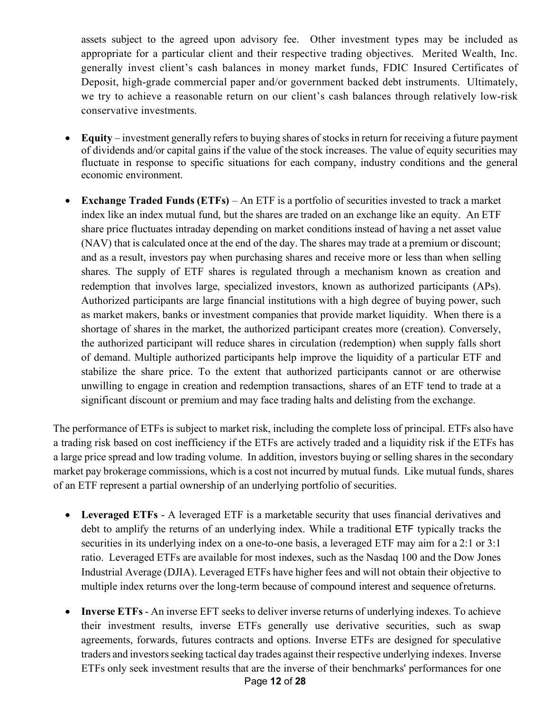assets subject to the agreed upon advisory fee. Other investment types may be included as appropriate for a particular client and their respective trading objectives. Merited Wealth, Inc. generally invest client's cash balances in money market funds, FDIC Insured Certificates of Deposit, high-grade commercial paper and/or government backed debt instruments. Ultimately, we try to achieve a reasonable return on our client's cash balances through relatively low-risk conservative investments.

- **Equity**  investment generally refers to buying shares of stocks in return for receiving a future payment of dividends and/or capital gains if the value of the stock increases. The value of equity securities may fluctuate in response to specific situations for each company, industry conditions and the general economic environment.
- **Exchange Traded Funds (ETFs)**  An ETF is a portfolio of securities invested to track a market index like an index mutual fund, but the shares are traded on an exchange like an equity. An ETF share price fluctuates intraday depending on market conditions instead of having a net asset value (NAV) that is calculated once at the end of the day. The shares may trade at a premium or discount; and as a result, investors pay when purchasing shares and receive more or less than when selling shares. The supply of ETF shares is regulated through a mechanism known as creation and redemption that involves large, specialized investors, known as authorized participants (APs). Authorized participants are large financial institutions with a high degree of buying power, such as market makers, banks or investment companies that provide market liquidity. When there is a shortage of shares in the market, the authorized participant creates more (creation). Conversely, the authorized participant will reduce shares in circulation (redemption) when supply falls short of demand. Multiple authorized participants help improve the liquidity of a particular ETF and stabilize the share price. To the extent that authorized participants cannot or are otherwise unwilling to engage in creation and redemption transactions, shares of an ETF tend to trade at a significant discount or premium and may face trading halts and delisting from the exchange.

The performance of ETFs is subject to market risk, including the complete loss of principal. ETFs also have a trading risk based on cost inefficiency if the ETFs are actively traded and a liquidity risk if the ETFs has a large price spread and low trading volume. In addition, investors buying or selling shares in the secondary market pay brokerage commissions, which is a cost not incurred by mutual funds. Like mutual funds, shares of an ETF represent a partial ownership of an underlying portfolio of securities.

- **Leveraged ETFs**  A leveraged ETF is a marketable security that uses financial derivatives and debt to amplify the returns of an underlying index. While a traditional ETF typically tracks the securities in its underlying index on a one-to-one basis, a leveraged ETF may aim for a 2:1 or 3:1 ratio. Leveraged ETFs are available for most indexes, such as the Nasdaq 100 and the Dow Jones Industrial Average (DJIA). Leveraged ETFs have higher fees and will not obtain their objective to multiple index returns over the long-term because of compound interest and sequence ofreturns.
- **Inverse ETFs** An inverse EFT seeks to deliver inverse returns of underlying indexes. To achieve their investment results, inverse ETFs generally use derivative securities, such as swap agreements, forwards, futures contracts and options. Inverse ETFs are designed for speculative traders and investors seeking tactical day trades against their respective underlying indexes. Inverse ETFs only seek investment results that are the inverse of their benchmarks' performances for one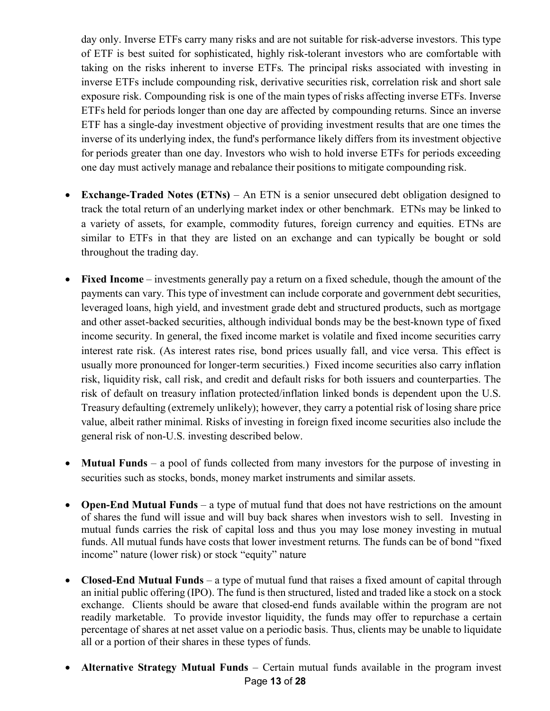day only. Inverse ETFs carry many risks and are not suitable for risk-adverse investors. This type of ETF is best suited for sophisticated, highly risk-tolerant investors who are comfortable with taking on the risks inherent to inverse ETFs. The principal risks associated with investing in inverse ETFs include compounding risk, derivative securities risk, correlation risk and short sale exposure risk. Compounding risk is one of the main types of risks affecting inverse ETFs. Inverse ETFs held for periods longer than one day are affected by compounding returns. Since an inverse ETF has a single-day investment objective of providing investment results that are one times the inverse of its underlying index, the fund's performance likely differs from its investment objective for periods greater than one day. Investors who wish to hold inverse ETFs for periods exceeding one day must actively manage and rebalance their positions to mitigate compounding risk.

- **Exchange-Traded Notes (ETNs)** An ETN is a senior unsecured debt obligation designed to track the total return of an underlying market index or other benchmark. ETNs may be linked to a variety of assets, for example, commodity futures, foreign currency and equities. ETNs are similar to ETFs in that they are listed on an exchange and can typically be bought or sold throughout the trading day.
- **Fixed Income** investments generally pay a return on a fixed schedule, though the amount of the payments can vary. This type of investment can include corporate and government debt securities, leveraged loans, high yield, and investment grade debt and structured products, such as mortgage and other asset-backed securities, although individual bonds may be the best-known type of fixed income security. In general, the fixed income market is volatile and fixed income securities carry interest rate risk. (As interest rates rise, bond prices usually fall, and vice versa. This effect is usually more pronounced for longer-term securities.) Fixed income securities also carry inflation risk, liquidity risk, call risk, and credit and default risks for both issuers and counterparties. The risk of default on treasury inflation protected/inflation linked bonds is dependent upon the U.S. Treasury defaulting (extremely unlikely); however, they carry a potential risk of losing share price value, albeit rather minimal. Risks of investing in foreign fixed income securities also include the general risk of non-U.S. investing described below.
- **Mutual Funds** a pool of funds collected from many investors for the purpose of investing in securities such as stocks, bonds, money market instruments and similar assets.
- **Open-End Mutual Funds** a type of mutual fund that does not have restrictions on the amount of shares the fund will issue and will buy back shares when investors wish to sell. Investing in mutual funds carries the risk of capital loss and thus you may lose money investing in mutual funds. All mutual funds have costs that lower investment returns. The funds can be of bond "fixed income" nature (lower risk) or stock "equity" nature
- **Closed-End Mutual Funds** a type of mutual fund that raises a fixed amount of capital through an initial public offering (IPO). The fund is then structured, listed and traded like a stock on a stock exchange. Clients should be aware that closed-end funds available within the program are not readily marketable. To provide investor liquidity, the funds may offer to repurchase a certain percentage of shares at net asset value on a periodic basis. Thus, clients may be unable to liquidate all or a portion of their shares in these types of funds.
- Page **13** of **28** • **Alternative Strategy Mutual Funds** – Certain mutual funds available in the program invest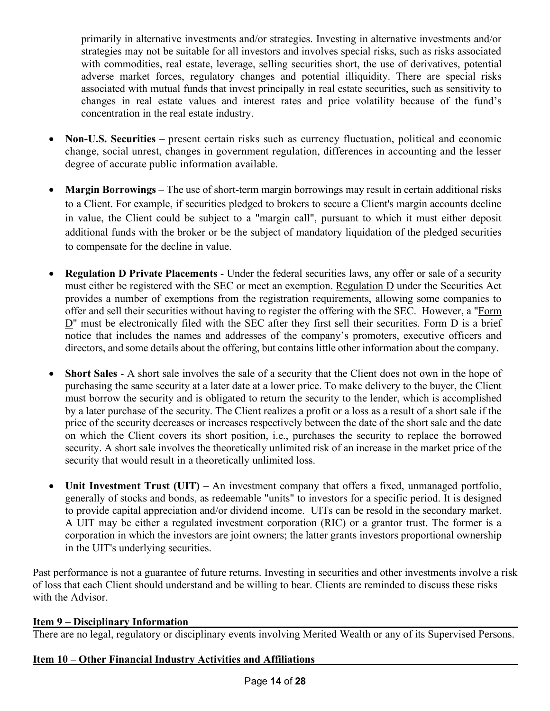primarily in alternative investments and/or strategies. Investing in alternative investments and/or strategies may not be suitable for all investors and involves special risks, such as risks associated with commodities, real estate, leverage, selling securities short, the use of derivatives, potential adverse market forces, regulatory changes and potential illiquidity. There are special risks associated with mutual funds that invest principally in real estate securities, such as sensitivity to changes in real estate values and interest rates and price volatility because of the fund's concentration in the real estate industry.

- **Non-U.S. Securities**  present certain risks such as currency fluctuation, political and economic change, social unrest, changes in government regulation, differences in accounting and the lesser degree of accurate public information available.
- **Margin Borrowings**  The use of short-term margin borrowings may result in certain additional risks to a Client. For example, if securities pledged to brokers to secure a Client's margin accounts decline in value, the Client could be subject to a "margin call", pursuant to which it must either deposit additional funds with the broker or be the subject of mandatory liquidation of the pledged securities to compensate for the decline in value.
- **Regulation D Private Placements** Under the federal securities laws, any offer or sale of a security must either be registered with the SEC or meet an exemption. Regulation D under the Securities Act provides a number of exemptions from the registration requirements, allowing some companies to offer and sell their securities without having to register the offering with the SEC. However, a "Form D" must be electronically filed with the SEC after they first sell their securities. Form D is a brief notice that includes the names and addresses of the company's promoters, executive officers and directors, and some details about the offering, but contains little other information about the company.
- **Short Sales** A short sale involves the sale of a security that the Client does not own in the hope of purchasing the same security at a later date at a lower price. To make delivery to the buyer, the Client must borrow the security and is obligated to return the security to the lender, which is accomplished by a later purchase of the security. The Client realizes a profit or a loss as a result of a short sale if the price of the security decreases or increases respectively between the date of the short sale and the date on which the Client covers its short position, i.e., purchases the security to replace the borrowed security. A short sale involves the theoretically unlimited risk of an increase in the market price of the security that would result in a theoretically unlimited loss.
- **Unit Investment Trust (UIT)** An investment company that offers a fixed, unmanaged portfolio, generally of stocks and bonds, as redeemable "units" to investors for a specific period. It is designed to provide capital appreciation and/or dividend income. UITs can be resold in the secondary market. A UIT may be either a regulated investment corporation (RIC) or a grantor trust. The former is a corporation in which the investors are joint owners; the latter grants investors proportional ownership in the UIT's underlying securities.

Past performance is not a guarantee of future returns. Investing in securities and other investments involve a risk of loss that each Client should understand and be willing to bear. Clients are reminded to discuss these risks with the Advisor.

#### **Item 9 – Disciplinary Information**

There are no legal, regulatory or disciplinary events involving Merited Wealth or any of its Supervised Persons.

#### **Item 10 – Other Financial Industry Activities and Affiliations**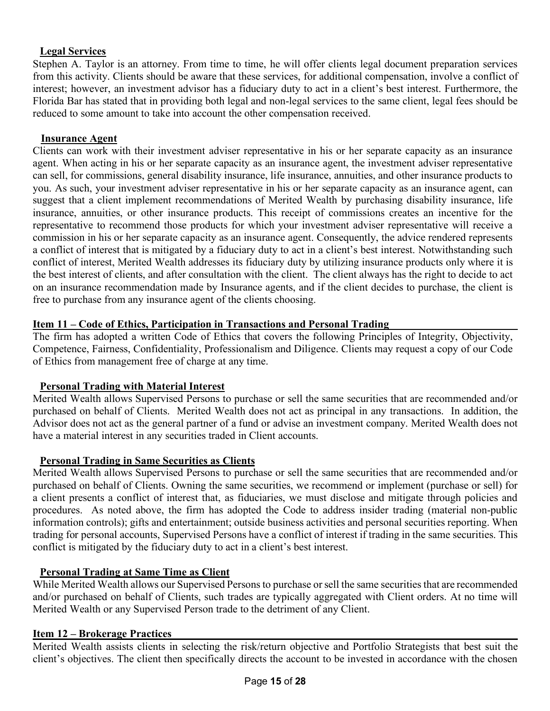#### **Legal Services**

Stephen A. Taylor is an attorney. From time to time, he will offer clients legal document preparation services from this activity. Clients should be aware that these services, for additional compensation, involve a conflict of interest; however, an investment advisor has a fiduciary duty to act in a client's best interest. Furthermore, the Florida Bar has stated that in providing both legal and non-legal services to the same client, legal fees should be reduced to some amount to take into account the other compensation received.

#### **Insurance Agent**

Clients can work with their investment adviser representative in his or her separate capacity as an insurance agent. When acting in his or her separate capacity as an insurance agent, the investment adviser representative can sell, for commissions, general disability insurance, life insurance, annuities, and other insurance products to you. As such, your investment adviser representative in his or her separate capacity as an insurance agent, can suggest that a client implement recommendations of Merited Wealth by purchasing disability insurance, life insurance, annuities, or other insurance products. This receipt of commissions creates an incentive for the representative to recommend those products for which your investment adviser representative will receive a commission in his or her separate capacity as an insurance agent. Consequently, the advice rendered represents a conflict of interest that is mitigated by a fiduciary duty to act in a client's best interest. Notwithstanding such conflict of interest, Merited Wealth addresses its fiduciary duty by utilizing insurance products only where it is the best interest of clients, and after consultation with the client. The client always has the right to decide to act on an insurance recommendation made by Insurance agents, and if the client decides to purchase, the client is free to purchase from any insurance agent of the clients choosing.

#### **Item 11 – Code of Ethics, Participation in Transactions and Personal Trading**

The firm has adopted a written Code of Ethics that covers the following Principles of Integrity, Objectivity, Competence, Fairness, Confidentiality, Professionalism and Diligence. Clients may request a copy of our Code of Ethics from management free of charge at any time.

#### **Personal Trading with Material Interest**

Merited Wealth allows Supervised Persons to purchase or sell the same securities that are recommended and/or purchased on behalf of Clients. Merited Wealth does not act as principal in any transactions. In addition, the Advisor does not act as the general partner of a fund or advise an investment company. Merited Wealth does not have a material interest in any securities traded in Client accounts.

#### **Personal Trading in Same Securities as Clients**

Merited Wealth allows Supervised Persons to purchase or sell the same securities that are recommended and/or purchased on behalf of Clients. Owning the same securities, we recommend or implement (purchase or sell) for a client presents a conflict of interest that, as fiduciaries, we must disclose and mitigate through policies and procedures. As noted above, the firm has adopted the Code to address insider trading (material non-public information controls); gifts and entertainment; outside business activities and personal securities reporting. When trading for personal accounts, Supervised Persons have a conflict of interest if trading in the same securities. This conflict is mitigated by the fiduciary duty to act in a client's best interest.

#### **Personal Trading at Same Time as Client**

While Merited Wealth allows our Supervised Persons to purchase or sell the same securities that are recommended and/or purchased on behalf of Clients, such trades are typically aggregated with Client orders. At no time will Merited Wealth or any Supervised Person trade to the detriment of any Client.

#### **Item 12 – Brokerage Practices**

Merited Wealth assists clients in selecting the risk/return objective and Portfolio Strategists that best suit the client's objectives. The client then specifically directs the account to be invested in accordance with the chosen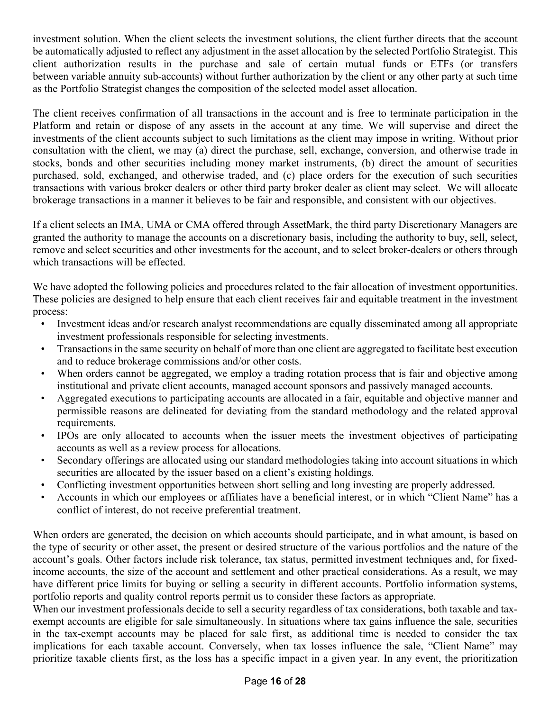investment solution. When the client selects the investment solutions, the client further directs that the account be automatically adjusted to reflect any adjustment in the asset allocation by the selected Portfolio Strategist. This client authorization results in the purchase and sale of certain mutual funds or ETFs (or transfers between variable annuity sub-accounts) without further authorization by the client or any other party at such time as the Portfolio Strategist changes the composition of the selected model asset allocation.

The client receives confirmation of all transactions in the account and is free to terminate participation in the Platform and retain or dispose of any assets in the account at any time. We will supervise and direct the investments of the client accounts subject to such limitations as the client may impose in writing. Without prior consultation with the client, we may (a) direct the purchase, sell, exchange, conversion, and otherwise trade in stocks, bonds and other securities including money market instruments, (b) direct the amount of securities purchased, sold, exchanged, and otherwise traded, and (c) place orders for the execution of such securities transactions with various broker dealers or other third party broker dealer as client may select. We will allocate brokerage transactions in a manner it believes to be fair and responsible, and consistent with our objectives.

If a client selects an IMA, UMA or CMA offered through AssetMark, the third party Discretionary Managers are granted the authority to manage the accounts on a discretionary basis, including the authority to buy, sell, select, remove and select securities and other investments for the account, and to select broker-dealers or others through which transactions will be effected.

We have adopted the following policies and procedures related to the fair allocation of investment opportunities. These policies are designed to help ensure that each client receives fair and equitable treatment in the investment process:

- Investment ideas and/or research analyst recommendations are equally disseminated among all appropriate investment professionals responsible for selecting investments.
- Transactions in the same security on behalf of more than one client are aggregated to facilitate best execution and to reduce brokerage commissions and/or other costs.
- When orders cannot be aggregated, we employ a trading rotation process that is fair and objective among institutional and private client accounts, managed account sponsors and passively managed accounts.
- Aggregated executions to participating accounts are allocated in a fair, equitable and objective manner and permissible reasons are delineated for deviating from the standard methodology and the related approval requirements.
- IPOs are only allocated to accounts when the issuer meets the investment objectives of participating accounts as well as a review process for allocations.
- Secondary offerings are allocated using our standard methodologies taking into account situations in which securities are allocated by the issuer based on a client's existing holdings.
- Conflicting investment opportunities between short selling and long investing are properly addressed.
- Accounts in which our employees or affiliates have a beneficial interest, or in which "Client Name" has a conflict of interest, do not receive preferential treatment.

When orders are generated, the decision on which accounts should participate, and in what amount, is based on the type of security or other asset, the present or desired structure of the various portfolios and the nature of the account's goals. Other factors include risk tolerance, tax status, permitted investment techniques and, for fixedincome accounts, the size of the account and settlement and other practical considerations. As a result, we may have different price limits for buying or selling a security in different accounts. Portfolio information systems, portfolio reports and quality control reports permit us to consider these factors as appropriate.

When our investment professionals decide to sell a security regardless of tax considerations, both taxable and taxexempt accounts are eligible for sale simultaneously. In situations where tax gains influence the sale, securities in the tax-exempt accounts may be placed for sale first, as additional time is needed to consider the tax implications for each taxable account. Conversely, when tax losses influence the sale, "Client Name" may prioritize taxable clients first, as the loss has a specific impact in a given year. In any event, the prioritization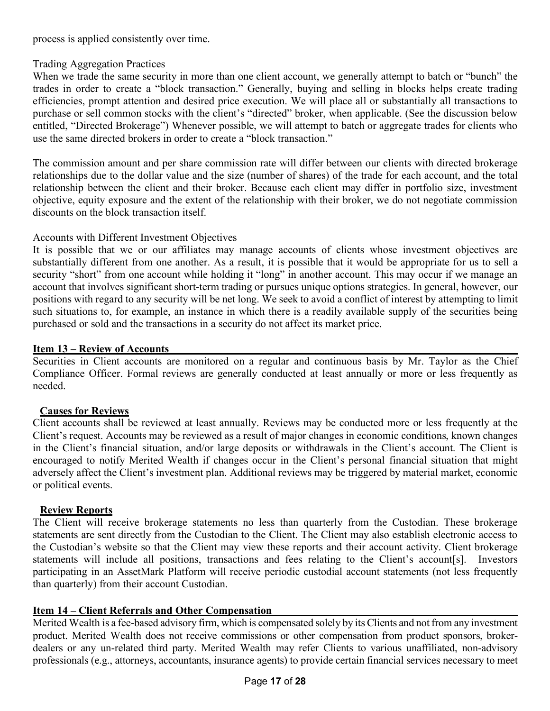process is applied consistently over time.

#### Trading Aggregation Practices

When we trade the same security in more than one client account, we generally attempt to batch or "bunch" the trades in order to create a "block transaction." Generally, buying and selling in blocks helps create trading efficiencies, prompt attention and desired price execution. We will place all or substantially all transactions to purchase or sell common stocks with the client's "directed" broker, when applicable. (See the discussion below entitled, "Directed Brokerage") Whenever possible, we will attempt to batch or aggregate trades for clients who use the same directed brokers in order to create a "block transaction."

The commission amount and per share commission rate will differ between our clients with directed brokerage relationships due to the dollar value and the size (number of shares) of the trade for each account, and the total relationship between the client and their broker. Because each client may differ in portfolio size, investment objective, equity exposure and the extent of the relationship with their broker, we do not negotiate commission discounts on the block transaction itself.

#### Accounts with Different Investment Objectives

It is possible that we or our affiliates may manage accounts of clients whose investment objectives are substantially different from one another. As a result, it is possible that it would be appropriate for us to sell a security "short" from one account while holding it "long" in another account. This may occur if we manage an account that involves significant short-term trading or pursues unique options strategies. In general, however, our positions with regard to any security will be net long. We seek to avoid a conflict of interest by attempting to limit such situations to, for example, an instance in which there is a readily available supply of the securities being purchased or sold and the transactions in a security do not affect its market price.

#### **Item 13 – Review of Accounts**

Securities in Client accounts are monitored on a regular and continuous basis by Mr. Taylor as the Chief Compliance Officer. Formal reviews are generally conducted at least annually or more or less frequently as needed.

#### **Causes for Reviews**

Client accounts shall be reviewed at least annually. Reviews may be conducted more or less frequently at the Client's request. Accounts may be reviewed as a result of major changes in economic conditions, known changes in the Client's financial situation, and/or large deposits or withdrawals in the Client's account. The Client is encouraged to notify Merited Wealth if changes occur in the Client's personal financial situation that might adversely affect the Client's investment plan. Additional reviews may be triggered by material market, economic or political events.

#### **Review Reports**

The Client will receive brokerage statements no less than quarterly from the Custodian. These brokerage statements are sent directly from the Custodian to the Client. The Client may also establish electronic access to the Custodian's website so that the Client may view these reports and their account activity. Client brokerage statements will include all positions, transactions and fees relating to the Client's account[s]. Investors participating in an AssetMark Platform will receive periodic custodial account statements (not less frequently than quarterly) from their account Custodian.

#### **Item 14 – Client Referrals and Other Compensation**

Merited Wealth is a fee-based advisory firm, which is compensated solely by its Clients and not from any investment product. Merited Wealth does not receive commissions or other compensation from product sponsors, brokerdealers or any un-related third party. Merited Wealth may refer Clients to various unaffiliated, non-advisory professionals (e.g., attorneys, accountants, insurance agents) to provide certain financial services necessary to meet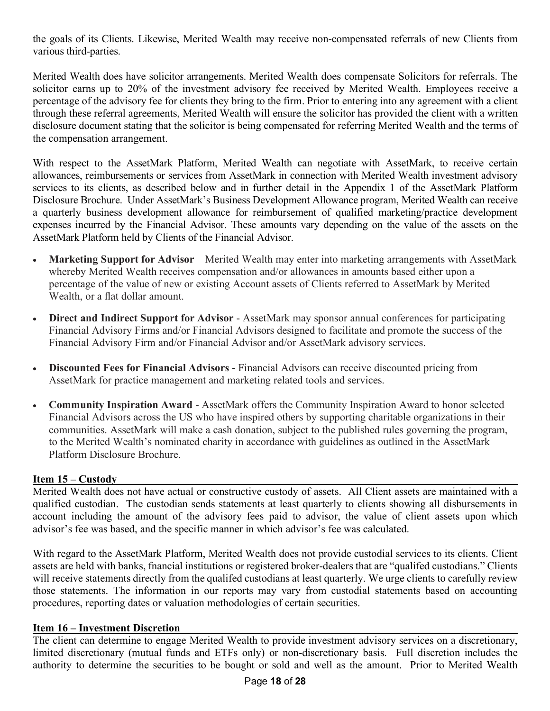the goals of its Clients. Likewise, Merited Wealth may receive non-compensated referrals of new Clients from various third-parties.

Merited Wealth does have solicitor arrangements. Merited Wealth does compensate Solicitors for referrals. The solicitor earns up to 20% of the investment advisory fee received by Merited Wealth. Employees receive a percentage of the advisory fee for clients they bring to the firm. Prior to entering into any agreement with a client through these referral agreements, Merited Wealth will ensure the solicitor has provided the client with a written disclosure document stating that the solicitor is being compensated for referring Merited Wealth and the terms of the compensation arrangement.

With respect to the AssetMark Platform, Merited Wealth can negotiate with AssetMark, to receive certain allowances, reimbursements or services from AssetMark in connection with Merited Wealth investment advisory services to its clients, as described below and in further detail in the Appendix 1 of the AssetMark Platform Disclosure Brochure. Under AssetMark's Business Development Allowance program, Merited Wealth can receive a quarterly business development allowance for reimbursement of qualified marketing/practice development expenses incurred by the Financial Advisor. These amounts vary depending on the value of the assets on the AssetMark Platform held by Clients of the Financial Advisor.

- **Marketing Support for Advisor** Merited Wealth may enter into marketing arrangements with AssetMark whereby Merited Wealth receives compensation and/or allowances in amounts based either upon a percentage of the value of new or existing Account assets of Clients referred to AssetMark by Merited Wealth, or a flat dollar amount.
- **Direct and Indirect Support for Advisor** AssetMark may sponsor annual conferences for participating Financial Advisory Firms and/or Financial Advisors designed to facilitate and promote the success of the Financial Advisory Firm and/or Financial Advisor and/or AssetMark advisory services.
- **Discounted Fees for Financial Advisors** Financial Advisors can receive discounted pricing from AssetMark for practice management and marketing related tools and services.
- **Community Inspiration Award** AssetMark offers the Community Inspiration Award to honor selected Financial Advisors across the US who have inspired others by supporting charitable organizations in their communities. AssetMark will make a cash donation, subject to the published rules governing the program, to the Merited Wealth's nominated charity in accordance with guidelines as outlined in the AssetMark Platform Disclosure Brochure.

#### **Item 15 – Custody**

Merited Wealth does not have actual or constructive custody of assets. All Client assets are maintained with a qualified custodian. The custodian sends statements at least quarterly to clients showing all disbursements in account including the amount of the advisory fees paid to advisor, the value of client assets upon which advisor's fee was based, and the specific manner in which advisor's fee was calculated.

With regard to the AssetMark Platform, Merited Wealth does not provide custodial services to its clients. Client assets are held with banks, fnancial institutions or registered broker-dealers that are "qualifed custodians." Clients will receive statements directly from the qualifed custodians at least quarterly. We urge clients to carefully review those statements. The information in our reports may vary from custodial statements based on accounting procedures, reporting dates or valuation methodologies of certain securities.

#### **Item 16 – Investment Discretion**

The client can determine to engage Merited Wealth to provide investment advisory services on a discretionary, limited discretionary (mutual funds and ETFs only) or non-discretionary basis. Full discretion includes the authority to determine the securities to be bought or sold and well as the amount. Prior to Merited Wealth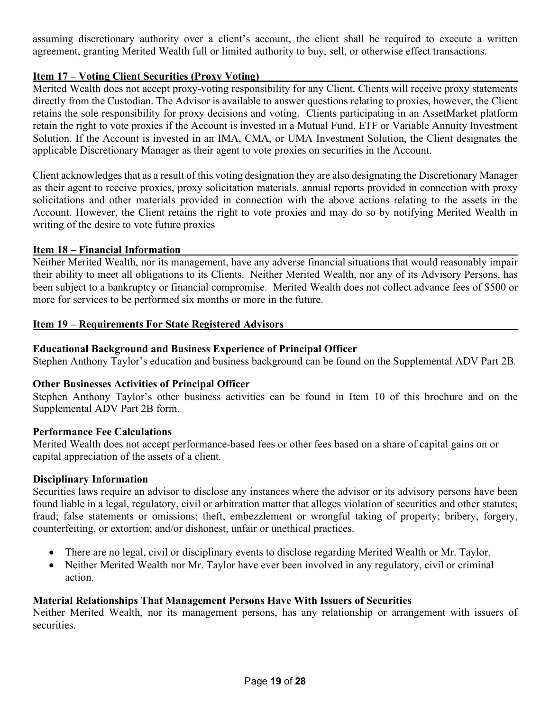assuming discretionary authority over a client's account, the client shall be required to execute a written agreement, granting Merited Wealth full or limited authority to buy, sell, or otherwise effect transactions.

#### **Item 17 – Voting Client Securities (Proxy Voting)**

Merited Wealth does not accept proxy-voting responsibility for any Client. Clients will receive proxy statements directly from the Custodian. The Advisor is available to answer questions relating to proxies, however, the Client retains the sole responsibility for proxy decisions and voting. Clients participating in an AssetMarket platform retain the right to vote proxies if the Account is invested in a Mutual Fund, ETF or Variable Annuity Investment Solution. If the Account is invested in an IMA, CMA, or UMA Investment Solution, the Client designates the applicable Discretionary Manager as their agent to vote proxies on securities in the Account.

Client acknowledges that as a result of this voting designation they are also designating the Discretionary Manager as their agent to receive proxies, proxy solicitation materials, annual reports provided in connection with proxy solicitations and other materials provided in connection with the above actions relating to the assets in the Account. However, the Client retains the right to vote proxies and may do so by notifying Merited Wealth in writing of the desire to vote future proxies

#### **Item 18 – Financial Information**

Neither Merited Wealth, nor its management, have any adverse financial situations that would reasonably impair their ability to meet all obligations to its Clients. Neither Merited Wealth, nor any of its Advisory Persons, has been subject to a bankruptcy or financial compromise. Merited Wealth does not collect advance fees of \$500 or more for services to be performed six months or more in the future.

#### **Item 19 – Requirements For State Registered Advisors**

#### **Educational Background and Business Experience of Principal Officer**

Stephen Anthony Taylor's education and business background can be found on the Supplemental ADV Part 2B.

#### **Other Businesses Activities of Principal Officer**

Stephen Anthony Taylor's other business activities can be found in Item 10 of this brochure and on the Supplemental ADV Part 2B form.

#### **Performance Fee Calculations**

Merited Wealth does not accept performance-based fees or other fees based on a share of capital gains on or capital appreciation of the assets of a client.

#### **Disciplinary Information**

Securities laws require an advisor to disclose any instances where the advisor or its advisory persons have been found liable in a legal, regulatory, civil or arbitration matter that alleges violation of securities and other statutes; fraud; false statements or omissions; theft, embezzlement or wrongful taking of property; bribery, forgery, counterfeiting, or extortion; and/or dishonest, unfair or unethical practices.

- There are no legal, civil or disciplinary events to disclose regarding Merited Wealth or Mr. Taylor.
- Neither Merited Wealth nor Mr. Taylor have ever been involved in any regulatory, civil or criminal action.

#### **Material Relationships That Management Persons Have With Issuers of Securities**

Neither Merited Wealth, nor its management persons, has any relationship or arrangement with issuers of securities.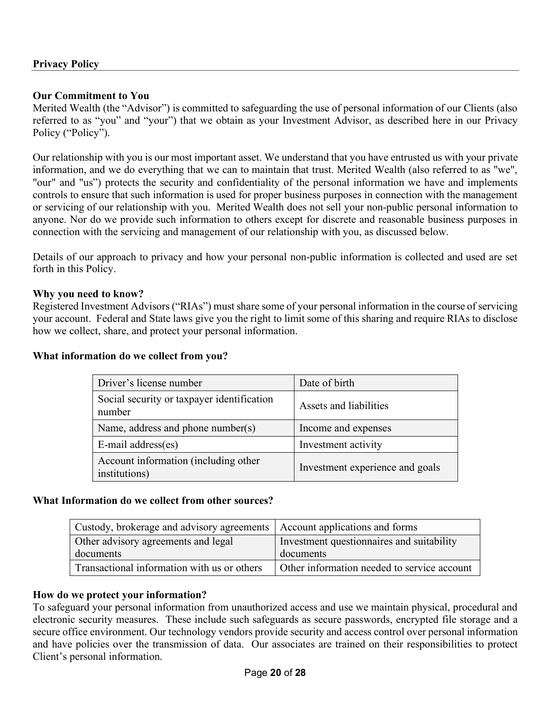#### **Privacy Policy**

#### **Our Commitment to You**

Merited Wealth (the "Advisor") is committed to safeguarding the use of personal information of our Clients (also referred to as "you" and "your") that we obtain as your Investment Advisor, as described here in our Privacy Policy ("Policy").

Our relationship with you is our most important asset. We understand that you have entrusted us with your private information, and we do everything that we can to maintain that trust. Merited Wealth (also referred to as "we", "our" and "us") protects the security and confidentiality of the personal information we have and implements controls to ensure that such information is used for proper business purposes in connection with the management or servicing of our relationship with you. Merited Wealth does not sell your non-public personal information to anyone. Nor do we provide such information to others except for discrete and reasonable business purposes in connection with the servicing and management of our relationship with you, as discussed below.

Details of our approach to privacy and how your personal non-public information is collected and used are set forth in this Policy.

#### **Why you need to know?**

Registered Investment Advisors ("RIAs") must share some of your personal information in the course of servicing your account. Federal and State laws give you the right to limit some of this sharing and require RIAs to disclose how we collect, share, and protect your personal information.

#### **What information do we collect from you?**

| Driver's license number                               | Date of birth                   |
|-------------------------------------------------------|---------------------------------|
| Social security or taxpayer identification<br>number  | Assets and liabilities          |
| Name, address and phone number(s)                     | Income and expenses             |
| E-mail address(es)                                    | Investment activity             |
| Account information (including other<br>institutions) | Investment experience and goals |

#### **What Information do we collect from other sources?**

| Custody, brokerage and advisory agreements   Account applications and forms |                                             |
|-----------------------------------------------------------------------------|---------------------------------------------|
| Other advisory agreements and legal                                         | Investment questionnaires and suitability   |
| documents                                                                   | documents                                   |
| Transactional information with us or others                                 | Other information needed to service account |

#### **How do we protect your information?**

To safeguard your personal information from unauthorized access and use we maintain physical, procedural and electronic security measures. These include such safeguards as secure passwords, encrypted file storage and a secure office environment. Our technology vendors provide security and access control over personal information and have policies over the transmission of data. Our associates are trained on their responsibilities to protect Client's personal information.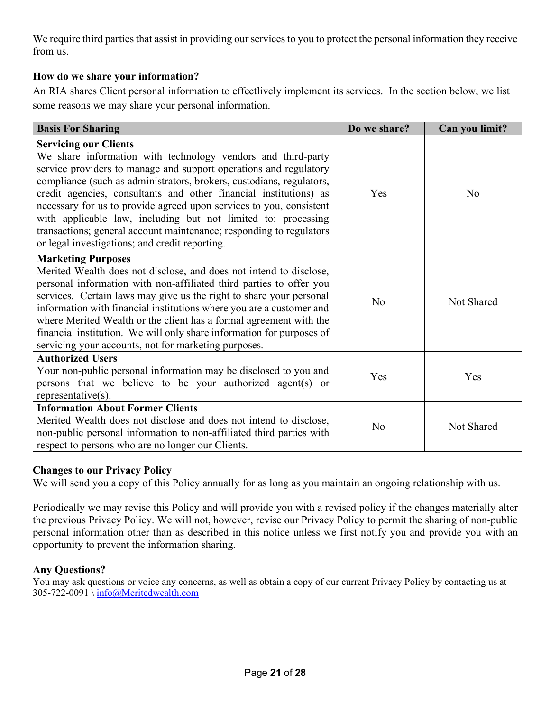We require third parties that assist in providing our services to you to protect the personal information they receive from us.

#### **How do we share your information?**

An RIA shares Client personal information to effectlively implement its services. In the section below, we list some reasons we may share your personal information.

| <b>Basis For Sharing</b>                                                                                                                                                                                                                                                                                                                                                                                                                                                                                                                                                        | Do we share?   | Can you limit? |
|---------------------------------------------------------------------------------------------------------------------------------------------------------------------------------------------------------------------------------------------------------------------------------------------------------------------------------------------------------------------------------------------------------------------------------------------------------------------------------------------------------------------------------------------------------------------------------|----------------|----------------|
| <b>Servicing our Clients</b><br>We share information with technology vendors and third-party<br>service providers to manage and support operations and regulatory<br>compliance (such as administrators, brokers, custodians, regulators,<br>credit agencies, consultants and other financial institutions) as<br>necessary for us to provide agreed upon services to you, consistent<br>with applicable law, including but not limited to: processing<br>transactions; general account maintenance; responding to regulators<br>or legal investigations; and credit reporting. | Yes            | N <sub>0</sub> |
| <b>Marketing Purposes</b><br>Merited Wealth does not disclose, and does not intend to disclose,<br>personal information with non-affiliated third parties to offer you<br>services. Certain laws may give us the right to share your personal<br>information with financial institutions where you are a customer and<br>where Merited Wealth or the client has a formal agreement with the<br>financial institution. We will only share information for purposes of<br>servicing your accounts, not for marketing purposes.                                                    | No             | Not Shared     |
| <b>Authorized Users</b><br>Your non-public personal information may be disclosed to you and<br>persons that we believe to be your authorized agent(s) or<br>representative $(s)$ .                                                                                                                                                                                                                                                                                                                                                                                              | Yes            | Yes            |
| <b>Information About Former Clients</b><br>Merited Wealth does not disclose and does not intend to disclose,<br>non-public personal information to non-affiliated third parties with<br>respect to persons who are no longer our Clients.                                                                                                                                                                                                                                                                                                                                       | N <sub>0</sub> | Not Shared     |

#### **Changes to our Privacy Policy**

We will send you a copy of this Policy annually for as long as you maintain an ongoing relationship with us.

Periodically we may revise this Policy and will provide you with a revised policy if the changes materially alter the previous Privacy Policy. We will not, however, revise our Privacy Policy to permit the sharing of non-public personal information other than as described in this notice unless we first notify you and provide you with an opportunity to prevent the information sharing.

#### **Any Questions?**

You may ask questions or voice any concerns, as well as obtain a copy of our current Privacy Policy by contacting us at 305-722-0091 \ info@Meritedwealth.com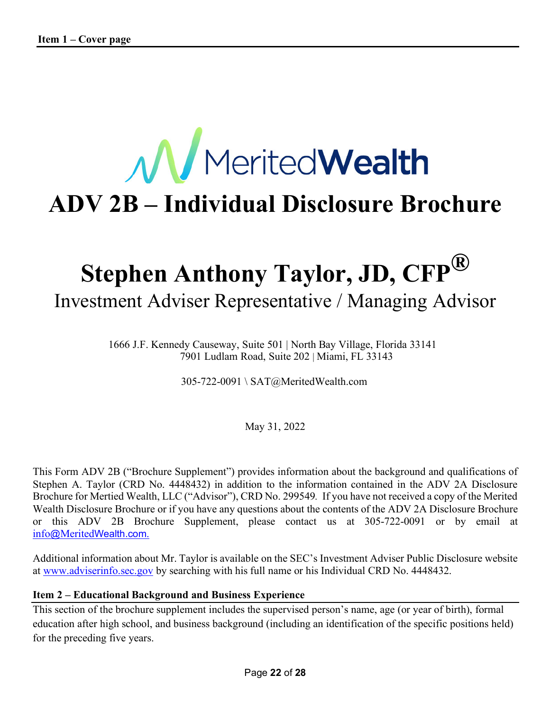# **M**MeritedWealth **ADV 2B – Individual Disclosure Brochure**

# **Stephen Anthony Taylor, JD, CFP®** Investment Adviser Representative / Managing Advisor

1666 J.F. Kennedy Causeway, Suite 501 | North Bay Village, Florida 33141 7901 Ludlam Road, Suite 202 | Miami, FL 33143

305-722-0091 \ SAT@MeritedWealth.com

May 31, 2022

This Form ADV 2B ("Brochure Supplement") provides information about the background and qualifications of Stephen A. Taylor (CRD No. 4448432) in addition to the information contained in the ADV 2A Disclosure Brochure for Mertied Wealth, LLC ("Advisor"), CRD No. 299549*.* If you have not received a copy of the Merited Wealth Disclosure Brochure or if you have any questions about the contents of the ADV 2A Disclosure Brochure or this ADV 2B Brochure Supplement, please contact us at 305-722-0091 or by email at info@MeritedWealth.com.

Additional information about Mr. Taylor is available on the SEC's Investment Adviser Public Disclosure website at www.adviserinfo.sec.gov by searching with his full name or his Individual CRD No. 4448432.

#### **Item 2 – Educational Background and Business Experience**

This section of the brochure supplement includes the supervised person's name, age (or year of birth), formal education after high school, and business background (including an identification of the specific positions held) for the preceding five years.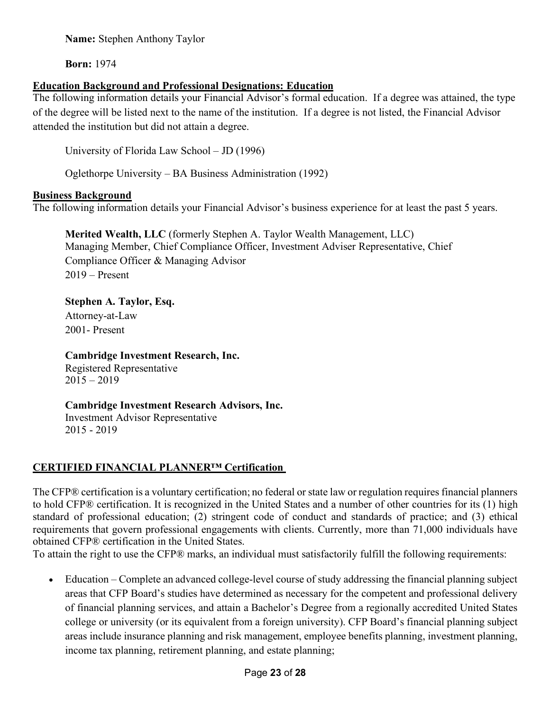**Born:** 1974

#### **Education Background and Professional Designations: Education**

The following information details your Financial Advisor's formal education. If a degree was attained, the type of the degree will be listed next to the name of the institution. If a degree is not listed, the Financial Advisor attended the institution but did not attain a degree.

University of Florida Law School – JD (1996)

Oglethorpe University – BA Business Administration (1992)

#### **Business Background**

The following information details your Financial Advisor's business experience for at least the past 5 years.

**Merited Wealth, LLC** (formerly Stephen A. Taylor Wealth Management, LLC) Managing Member, Chief Compliance Officer, Investment Adviser Representative, Chief Compliance Officer & Managing Advisor 2019 – Present

**Stephen A. Taylor, Esq.** Attorney-at-Law 2001- Present

**Cambridge Investment Research, Inc.** Registered Representative

 $2015 - 2019$ 

**Cambridge Investment Research Advisors, Inc.** Investment Advisor Representative 2015 - 2019

#### **CERTIFIED FINANCIAL PLANNER™ Certification**

The CFP® certification is a voluntary certification; no federal or state law or regulation requires financial planners to hold CFP® certification. It is recognized in the United States and a number of other countries for its (1) high standard of professional education; (2) stringent code of conduct and standards of practice; and (3) ethical requirements that govern professional engagements with clients. Currently, more than 71,000 individuals have obtained CFP® certification in the United States.

To attain the right to use the CFP® marks, an individual must satisfactorily fulfill the following requirements:

• Education – Complete an advanced college-level course of study addressing the financial planning subject areas that CFP Board's studies have determined as necessary for the competent and professional delivery of financial planning services, and attain a Bachelor's Degree from a regionally accredited United States college or university (or its equivalent from a foreign university). CFP Board's financial planning subject areas include insurance planning and risk management, employee benefits planning, investment planning, income tax planning, retirement planning, and estate planning;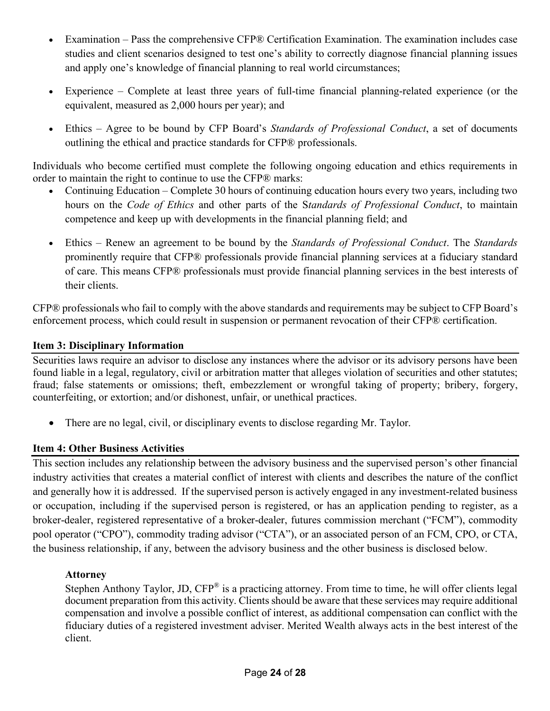- Examination Pass the comprehensive CFP® Certification Examination. The examination includes case studies and client scenarios designed to test one's ability to correctly diagnose financial planning issues and apply one's knowledge of financial planning to real world circumstances;
- Experience Complete at least three years of full-time financial planning-related experience (or the equivalent, measured as 2,000 hours per year); and
- Ethics Agree to be bound by CFP Board's *Standards of Professional Conduct*, a set of documents outlining the ethical and practice standards for CFP® professionals.

Individuals who become certified must complete the following ongoing education and ethics requirements in order to maintain the right to continue to use the CFP® marks:

- Continuing Education Complete 30 hours of continuing education hours every two years, including two hours on the *Code of Ethics* and other parts of the S*tandards of Professional Conduct*, to maintain competence and keep up with developments in the financial planning field; and
- Ethics Renew an agreement to be bound by the *Standards of Professional Conduct*. The *Standards* prominently require that CFP® professionals provide financial planning services at a fiduciary standard of care. This means CFP® professionals must provide financial planning services in the best interests of their clients.

CFP® professionals who fail to comply with the above standards and requirements may be subject to CFP Board's enforcement process, which could result in suspension or permanent revocation of their CFP® certification.

#### **Item 3: Disciplinary Information**

Securities laws require an advisor to disclose any instances where the advisor or its advisory persons have been found liable in a legal, regulatory, civil or arbitration matter that alleges violation of securities and other statutes; fraud; false statements or omissions; theft, embezzlement or wrongful taking of property; bribery, forgery, counterfeiting, or extortion; and/or dishonest, unfair, or unethical practices.

• There are no legal, civil, or disciplinary events to disclose regarding Mr. Taylor.

#### **Item 4: Other Business Activities**

This section includes any relationship between the advisory business and the supervised person's other financial industry activities that creates a material conflict of interest with clients and describes the nature of the conflict and generally how it is addressed. If the supervised person is actively engaged in any investment-related business or occupation, including if the supervised person is registered, or has an application pending to register, as a broker-dealer, registered representative of a broker-dealer, futures commission merchant ("FCM"), commodity pool operator ("CPO"), commodity trading advisor ("CTA"), or an associated person of an FCM, CPO, or CTA, the business relationship, if any, between the advisory business and the other business is disclosed below.

#### **Attorney**

Stephen Anthony Taylor, JD, CFP<sup>®</sup> is a practicing attorney. From time to time, he will offer clients legal document preparation from this activity. Clients should be aware that these services may require additional compensation and involve a possible conflict of interest, as additional compensation can conflict with the fiduciary duties of a registered investment adviser. Merited Wealth always acts in the best interest of the client.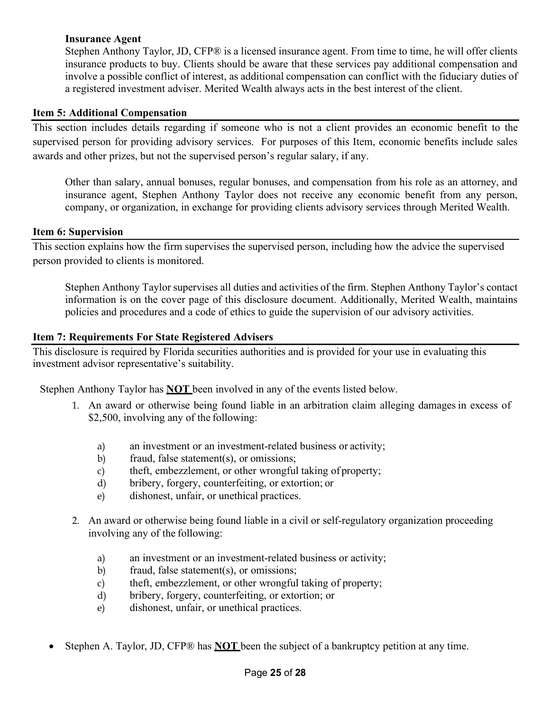#### **Insurance Agent**

Stephen Anthony Taylor, JD, CFP® is a licensed insurance agent. From time to time, he will offer clients insurance products to buy. Clients should be aware that these services pay additional compensation and involve a possible conflict of interest, as additional compensation can conflict with the fiduciary duties of a registered investment adviser. Merited Wealth always acts in the best interest of the client.

#### **Item 5: Additional Compensation**

This section includes details regarding if someone who is not a client provides an economic benefit to the supervised person for providing advisory services. For purposes of this Item, economic benefits include sales awards and other prizes, but not the supervised person's regular salary, if any.

Other than salary, annual bonuses, regular bonuses, and compensation from his role as an attorney, and insurance agent, Stephen Anthony Taylor does not receive any economic benefit from any person, company, or organization, in exchange for providing clients advisory services through Merited Wealth.

#### **Item 6: Supervision**

This section explains how the firm supervises the supervised person, including how the advice the supervised person provided to clients is monitored.

Stephen Anthony Taylor supervises all duties and activities of the firm. Stephen Anthony Taylor's contact information is on the cover page of this disclosure document. Additionally, Merited Wealth, maintains policies and procedures and a code of ethics to guide the supervision of our advisory activities.

#### **Item 7: Requirements For State Registered Advisers**

This disclosure is required by Florida securities authorities and is provided for your use in evaluating this investment advisor representative's suitability.

Stephen Anthony Taylor has **NOT** been involved in any of the events listed below.

- 1. An award or otherwise being found liable in an arbitration claim alleging damages in excess of \$2,500, involving any of the following:
	- a) an investment or an investment-related business or activity;
	- b) fraud, false statement(s), or omissions;
	- c) theft, embezzlement, or other wrongful taking of property;
	- d) bribery, forgery, counterfeiting, or extortion; or
	- e) dishonest, unfair, or unethical practices.
- 2. An award or otherwise being found liable in a civil or self-regulatory organization proceeding involving any of the following:
	- a) an investment or an investment-related business or activity;
	- b) fraud, false statement(s), or omissions;
	- c) theft, embezzlement, or other wrongful taking of property;
	- d) bribery, forgery, counterfeiting, or extortion; or
	- e) dishonest, unfair, or unethical practices.
- Stephen A. Taylor, JD, CFP® has **NOT** been the subject of a bankruptcy petition at any time.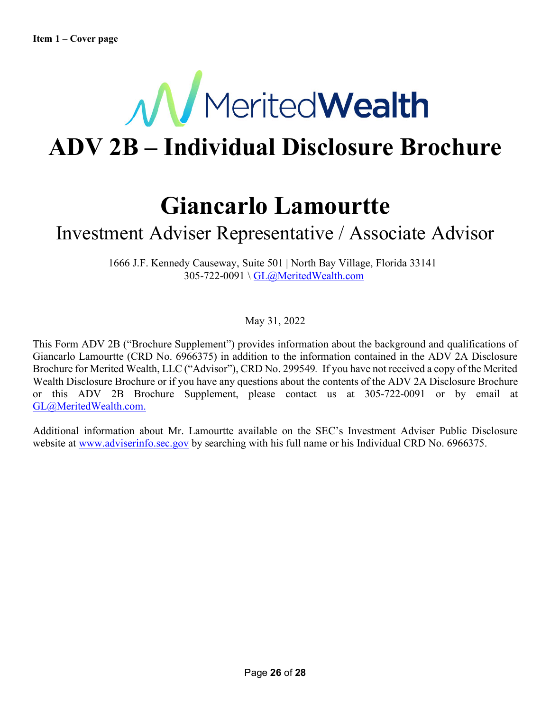

# **ADV 2B – Individual Disclosure Brochure**

### **Giancarlo Lamourtte**

### Investment Adviser Representative / Associate Advisor

1666 J.F. Kennedy Causeway, Suite 501 | North Bay Village, Florida 33141 305-722-0091 \ GL@MeritedWealth.com

May 31, 2022

This Form ADV 2B ("Brochure Supplement") provides information about the background and qualifications of Giancarlo Lamourtte (CRD No. 6966375) in addition to the information contained in the ADV 2A Disclosure Brochure for Merited Wealth, LLC ("Advisor"), CRD No. 299549*.* If you have not received a copy of the Merited Wealth Disclosure Brochure or if you have any questions about the contents of the ADV 2A Disclosure Brochure or this ADV 2B Brochure Supplement, please contact us at 305-722-0091 or by email at GL@MeritedWealth.com.

Additional information about Mr. Lamourtte available on the SEC's Investment Adviser Public Disclosure website at www.adviserinfo.sec.gov by searching with his full name or his Individual CRD No. 6966375.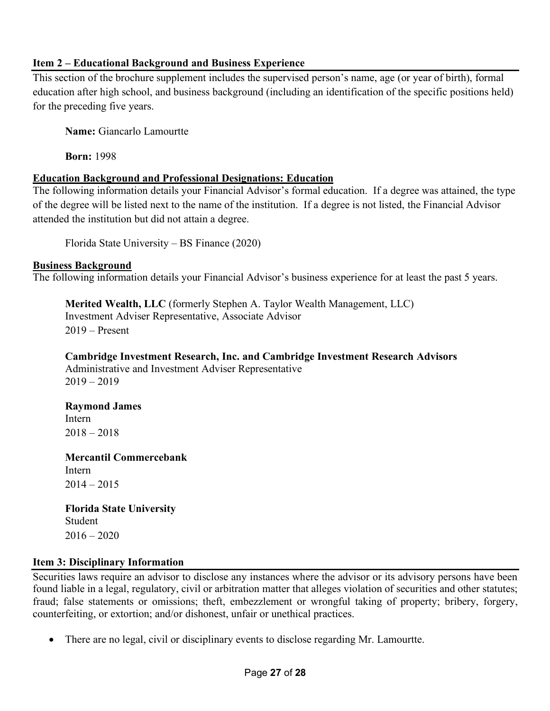#### **Item 2 – Educational Background and Business Experience**

This section of the brochure supplement includes the supervised person's name, age (or year of birth), formal education after high school, and business background (including an identification of the specific positions held) for the preceding five years.

**Name:** Giancarlo Lamourtte

**Born:** 1998

#### **Education Background and Professional Designations: Education**

The following information details your Financial Advisor's formal education. If a degree was attained, the type of the degree will be listed next to the name of the institution. If a degree is not listed, the Financial Advisor attended the institution but did not attain a degree.

Florida State University – BS Finance (2020)

#### **Business Background**

The following information details your Financial Advisor's business experience for at least the past 5 years.

**Merited Wealth, LLC** (formerly Stephen A. Taylor Wealth Management, LLC) Investment Adviser Representative, Associate Advisor 2019 – Present

**Cambridge Investment Research, Inc. and Cambridge Investment Research Advisors** Administrative and Investment Adviser Representative  $2019 - 2019$ 

**Raymond James** Intern  $2018 - 2018$ 

**Mercantil Commercebank** Intern  $2014 - 2015$ 

**Florida State University** Student  $2016 - 2020$ 

#### **Item 3: Disciplinary Information**

Securities laws require an advisor to disclose any instances where the advisor or its advisory persons have been found liable in a legal, regulatory, civil or arbitration matter that alleges violation of securities and other statutes; fraud; false statements or omissions; theft, embezzlement or wrongful taking of property; bribery, forgery, counterfeiting, or extortion; and/or dishonest, unfair or unethical practices.

• There are no legal, civil or disciplinary events to disclose regarding Mr. Lamourtte.